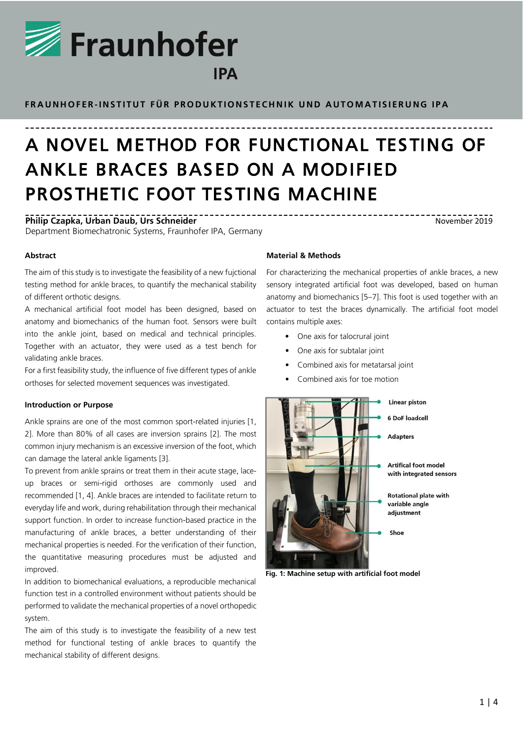

**F R A U N H O F E R -I N S T I T U T F Ü R P R O D U K T I O N S T E C H N I K U N D A U T O M A T I S I E R U N G I P A**

# A NOVEL METHOD FOR FUNCTIONAL TES TING OF ANKLE BRACES BASED ON A MODIFIED PROSTHETIC FOOT TESTING MACHINE

**Philip Czapka, Urban Daub, Urs Schneider** Department Biomechatronic Systems, Fraunhofer IPA, Germany

November 2019

# **Abstract**

The aim of this study is to investigate the feasibility of a new fujctional testing method for ankle braces, to quantify the mechanical stability of different orthotic designs.

A mechanical artificial foot model has been designed, based on anatomy and biomechanics of the human foot. Sensors were built into the ankle joint, based on medical and technical principles. Together with an actuator, they were used as a test bench for validating ankle braces.

For a first feasibility study, the influence of five different types of ankle orthoses for selected movement sequences was investigated.

## **Introduction or Purpose**

Ankle sprains are one of the most common sport-related injuries [1, 2]. More than 80% of all cases are inversion sprains [2]. The most common injury mechanism is an excessive inversion of the foot, which can damage the lateral ankle ligaments [3].

To prevent from ankle sprains or treat them in their acute stage, laceup braces or semi-rigid orthoses are commonly used and recommended [1, 4]. Ankle braces are intended to facilitate return to everyday life and work, during rehabilitation through their mechanical support function. In order to increase function-based practice in the manufacturing of ankle braces, a better understanding of their mechanical properties is needed. For the verification of their function, the quantitative measuring procedures must be adjusted and improved.

In addition to biomechanical evaluations, a reproducible mechanical function test in a controlled environment without patients should be performed to validate the mechanical properties of a novel orthopedic system.

The aim of this study is to investigate the feasibility of a new test method for functional testing of ankle braces to quantify the mechanical stability of different designs.

# **Material & Methods**

For characterizing the mechanical properties of ankle braces, a new sensory integrated artificial foot was developed, based on human anatomy and biomechanics [5–7]. This foot is used together with an actuator to test the braces dynamically. The artificial foot model contains multiple axes:

- One axis for talocrural joint
- One axis for subtalar joint
- Combined axis for metatarsal joint
- Combined axis for toe motion

<span id="page-0-0"></span>

**Fig. 1: Machine setup with artificial foot model**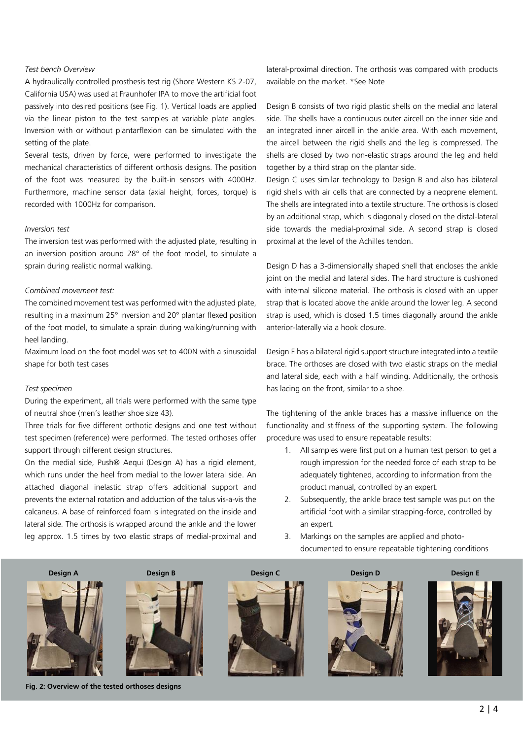## *Test bench Overview*

A hydraulically controlled prosthesis test rig (Shore Western KS 2-07, California USA) was used at Fraunhofer IPA to move the artificial foot passively into desired positions (see [Fig. 1\)](#page-0-0). Vertical loads are applied via the linear piston to the test samples at variable plate angles. Inversion with or without plantarflexion can be simulated with the setting of the plate.

Several tests, driven by force, were performed to investigate the mechanical characteristics of different orthosis designs. The position of the foot was measured by the built-in sensors with 4000Hz. Furthermore, machine sensor data (axial height, forces, torque) is recorded with 1000Hz for comparison.

# *Inversion test*

The inversion test was performed with the adjusted plate, resulting in an inversion position around 28° of the foot model, to simulate a sprain during realistic normal walking.

## *Combined movement test:*

The combined movement test was performed with the adjusted plate, resulting in a maximum 25° inversion and 20° plantar flexed position of the foot model, to simulate a sprain during walking/running with heel landing.

Maximum load on the foot model was set to 400N with a sinusoidal shape for both test cases

#### *Test specimen*

During the experiment, all trials were performed with the same type of neutral shoe (men's leather shoe size 43).

Three trials for five different orthotic designs and one test without test specimen (reference) were performed. The tested orthoses offer support through different design structures.

On the medial side, Push® Aequi (Design A) has a rigid element, which runs under the heel from medial to the lower lateral side. An attached diagonal inelastic strap offers additional support and prevents the external rotation and adduction of the talus vis-a-vis the calcaneus. A base of reinforced foam is integrated on the inside and lateral side. The orthosis is wrapped around the ankle and the lower leg approx. 1.5 times by two elastic straps of medial-proximal and

lateral-proximal direction. The orthosis was compared with products available on the market. \*See Note

Design B consists of two rigid plastic shells on the medial and lateral side. The shells have a continuous outer aircell on the inner side and an integrated inner aircell in the ankle area. With each movement, the aircell between the rigid shells and the leg is compressed. The shells are closed by two non-elastic straps around the leg and held together by a third strap on the plantar side.

Design C uses similar technology to Design B and also has bilateral rigid shells with air cells that are connected by a neoprene element. The shells are integrated into a textile structure. The orthosis is closed by an additional strap, which is diagonally closed on the distal-lateral side towards the medial-proximal side. A second strap is closed proximal at the level of the Achilles tendon.

Design D has a 3-dimensionally shaped shell that encloses the ankle joint on the medial and lateral sides. The hard structure is cushioned with internal silicone material. The orthosis is closed with an upper strap that is located above the ankle around the lower leg. A second strap is used, which is closed 1.5 times diagonally around the ankle anterior-laterally via a hook closure.

Design E has a bilateral rigid support structure integrated into a textile brace. The orthoses are closed with two elastic straps on the medial and lateral side, each with a half winding. Additionally, the orthosis has lacing on the front, similar to a shoe.

The tightening of the ankle braces has a massive influence on the functionality and stiffness of the supporting system. The following procedure was used to ensure repeatable results:

- 1. All samples were first put on a human test person to get a rough impression for the needed force of each strap to be adequately tightened, according to information from the product manual, controlled by an expert.
- 2. Subsequently, the ankle brace test sample was put on the artificial foot with a similar strapping-force, controlled by an expert.
- 3. Markings on the samples are applied and photodocumented to ensure repeatable tightening conditions



 $2 | 4$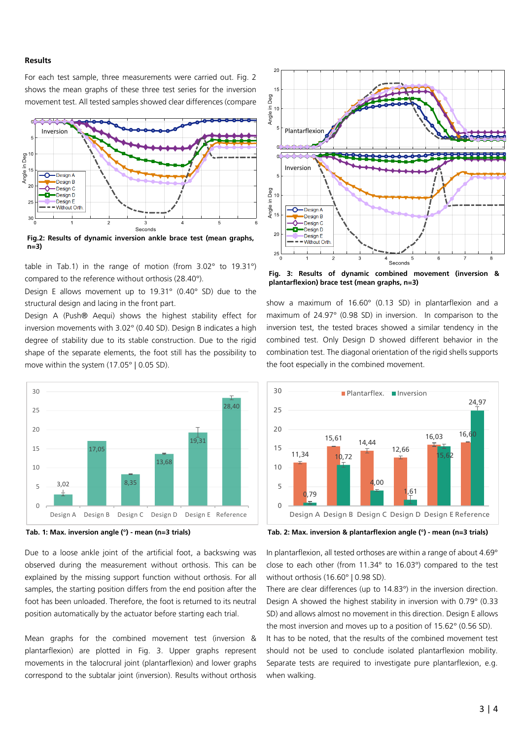## **Results**

For each test sample, three measurements were carried out. Fig. 2 shows the mean graphs of these three test series for the inversion movement test. All tested samples showed clear differences (compare



**Fig.2: Results of dynamic inversion ankle brace test (mean graphs, n=3)**

table in Tab.1) in the range of motion (from 3.02° to 19.31°) compared to the reference without orthosis (28.40°).

Design E allows movement up to 19.31° (0.40° SD) due to the structural design and lacing in the front part.

Design A (Push® Aequi) shows the highest stability effect for inversion movements with 3.02° (0.40 SD). Design B indicates a high degree of stability due to its stable construction. Due to the rigid shape of the separate elements, the foot still has the possibility to move within the system (17.05° | 0.05 SD).





Due to a loose ankle joint of the artificial foot, a backswing was observed during the measurement without orthosis. This can be explained by the missing support function without orthosis. For all samples, the starting position differs from the end position after the foot has been unloaded. Therefore, the foot is returned to its neutral position automatically by the actuator before starting each trial.

Mean graphs for the combined movement test (inversion & plantarflexion) are plotted in [Fig. 3.](#page-2-0) Upper graphs represent movements in the talocrural joint (plantarflexion) and lower graphs correspond to the subtalar joint (inversion). Results without orthosis



<span id="page-2-0"></span>**Fig. 3: Results of dynamic combined movement (inversion & plantarflexion) brace test (mean graphs, n=3)**

show a maximum of 16.60° (0.13 SD) in plantarflexion and a maximum of 24.97° (0.98 SD) in inversion. In comparison to the inversion test, the tested braces showed a similar tendency in the combined test. Only Design D showed different behavior in the combination test. The diagonal orientation of the rigid shells supports the foot especially in the combined movement.



**Tab. 2: Max. inversion & plantarflexion angle (°) - mean (n=3 trials)**

In plantarflexion, all tested orthoses are within a range of about 4.69° close to each other (from 11.34° to 16.03°) compared to the test without orthosis (16.60° | 0.98 SD).

There are clear differences (up to 14.83°) in the inversion direction. Design A showed the highest stability in inversion with 0.79° (0.33 SD) and allows almost no movement in this direction. Design E allows the most inversion and moves up to a position of 15.62° (0.56 SD).

It has to be noted, that the results of the combined movement test should not be used to conclude isolated plantarflexion mobility. Separate tests are required to investigate pure plantarflexion, e.g. when walking.